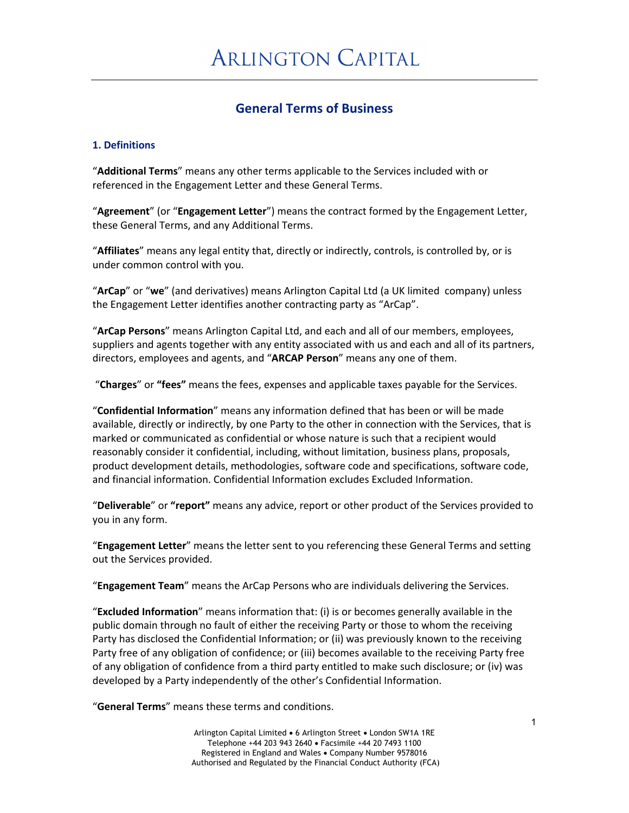# **General Terms of Business**

### **1. Definitions**

"**Additional Terms**" means any other terms applicable to the Services included with or referenced in the Engagement Letter and these General Terms.

"**Agreement**" (or "**Engagement Letter**") means the contract formed by the Engagement Letter, these General Terms, and any Additional Terms.

"**Affiliates**" means any legal entity that, directly or indirectly, controls, is controlled by, or is under common control with you.

"**ArCap**" or "**we**" (and derivatives) means Arlington Capital Ltd (a UK limited company) unless the Engagement Letter identifies another contracting party as "ArCap".

"**ArCap Persons**" means Arlington Capital Ltd, and each and all of our members, employees, suppliers and agents together with any entity associated with us and each and all of its partners, directors, employees and agents, and "**ARCAP Person**" means any one of them.

"**Charges**" or **"fees"** means the fees, expenses and applicable taxes payable for the Services.

"**Confidential Information**" means any information defined that has been or will be made available, directly or indirectly, by one Party to the other in connection with the Services, that is marked or communicated as confidential or whose nature is such that a recipient would reasonably consider it confidential, including, without limitation, business plans, proposals, product development details, methodologies, software code and specifications, software code, and financial information. Confidential Information excludes Excluded Information.

"**Deliverable**" or **"report"** means any advice, report or other product of the Services provided to you in any form.

"**Engagement Letter**" means the letter sent to you referencing these General Terms and setting out the Services provided.

"**Engagement Team**" means the ArCap Persons who are individuals delivering the Services.

"**Excluded Information**" means information that: (i) is or becomes generally available in the public domain through no fault of either the receiving Party or those to whom the receiving Party has disclosed the Confidential Information; or (ii) was previously known to the receiving Party free of any obligation of confidence; or (iii) becomes available to the receiving Party free of any obligation of confidence from a third party entitled to make such disclosure; or (iv) was developed by a Party independently of the other's Confidential Information.

"**General Terms**" means these terms and conditions.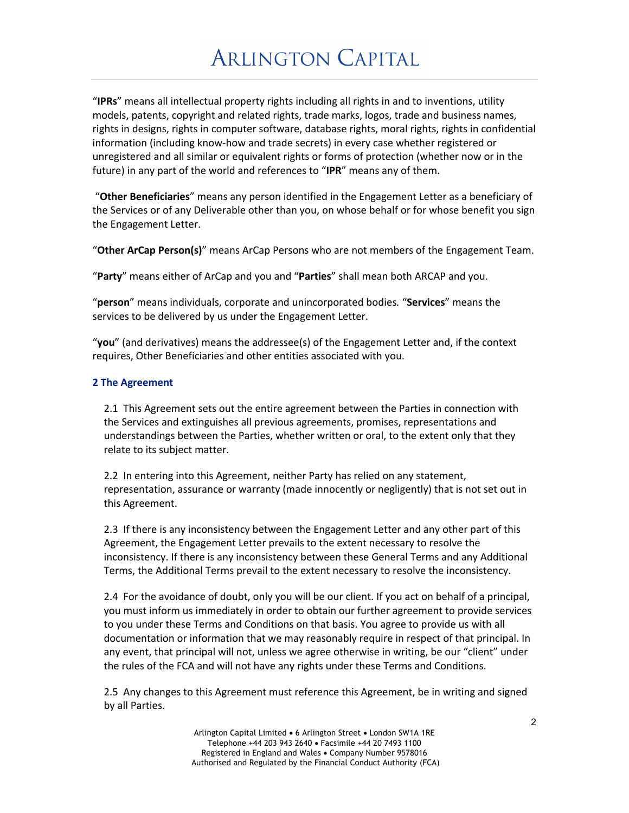"**IPRs**" means all intellectual property rights including all rights in and to inventions, utility models, patents, copyright and related rights, trade marks, logos, trade and business names, rights in designs, rights in computer software, database rights, moral rights, rights in confidential information (including know-how and trade secrets) in every case whether registered or unregistered and all similar or equivalent rights or forms of protection (whether now or in the future) in any part of the world and references to "**IPR**" means any of them.

"**Other Beneficiaries**" means any person identified in the Engagement Letter as a beneficiary of the Services or of any Deliverable other than you, on whose behalf or for whose benefit you sign the Engagement Letter.

"**Other ArCap Person(s)**" means ArCap Persons who are not members of the Engagement Team.

"**Party**" means either of ArCap and you and "**Parties**" shall mean both ARCAP and you.

"**person**" means individuals, corporate and unincorporated bodies*.* "**Services**" means the services to be delivered by us under the Engagement Letter.

"**you**" (and derivatives) means the addressee(s) of the Engagement Letter and, if the context requires, Other Beneficiaries and other entities associated with you.

### **2 The Agreement**

2.1 This Agreement sets out the entire agreement between the Parties in connection with the Services and extinguishes all previous agreements, promises, representations and understandings between the Parties, whether written or oral, to the extent only that they relate to its subject matter.

2.2 In entering into this Agreement, neither Party has relied on any statement, representation, assurance or warranty (made innocently or negligently) that is not set out in this Agreement.

2.3 If there is any inconsistency between the Engagement Letter and any other part of this Agreement, the Engagement Letter prevails to the extent necessary to resolve the inconsistency. If there is any inconsistency between these General Terms and any Additional Terms, the Additional Terms prevail to the extent necessary to resolve the inconsistency.

2.4 For the avoidance of doubt, only you will be our client. If you act on behalf of a principal, you must inform us immediately in order to obtain our further agreement to provide services to you under these Terms and Conditions on that basis. You agree to provide us with all documentation or information that we may reasonably require in respect of that principal. In any event, that principal will not, unless we agree otherwise in writing, be our "client" under the rules of the FCA and will not have any rights under these Terms and Conditions.

2.5 Any changes to this Agreement must reference this Agreement, be in writing and signed by all Parties.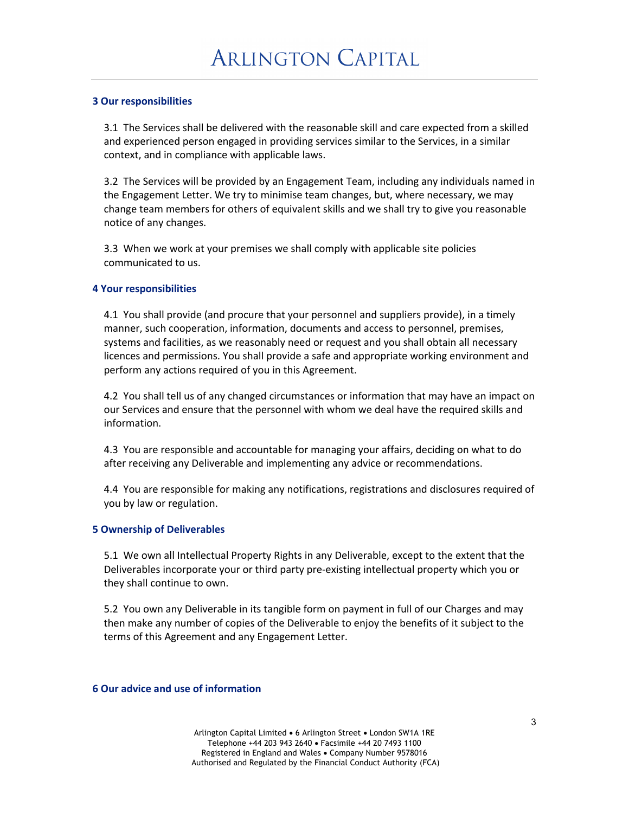### **3 Our responsibilities**

3.1 The Services shall be delivered with the reasonable skill and care expected from a skilled and experienced person engaged in providing services similar to the Services, in a similar context, and in compliance with applicable laws.

3.2 The Services will be provided by an Engagement Team, including any individuals named in the Engagement Letter. We try to minimise team changes, but, where necessary, we may change team members for others of equivalent skills and we shall try to give you reasonable notice of any changes.

3.3 When we work at your premises we shall comply with applicable site policies communicated to us.

### **4 Your responsibilities**

4.1 You shall provide (and procure that your personnel and suppliers provide), in a timely manner, such cooperation, information, documents and access to personnel, premises, systems and facilities, as we reasonably need or request and you shall obtain all necessary licences and permissions. You shall provide a safe and appropriate working environment and perform any actions required of you in this Agreement.

4.2 You shall tell us of any changed circumstances or information that may have an impact on our Services and ensure that the personnel with whom we deal have the required skills and information.

4.3 You are responsible and accountable for managing your affairs, deciding on what to do after receiving any Deliverable and implementing any advice or recommendations.

4.4 You are responsible for making any notifications, registrations and disclosures required of you by law or regulation.

#### **5 Ownership of Deliverables**

5.1 We own all Intellectual Property Rights in any Deliverable, except to the extent that the Deliverables incorporate your or third party pre-existing intellectual property which you or they shall continue to own.

5.2 You own any Deliverable in its tangible form on payment in full of our Charges and may then make any number of copies of the Deliverable to enjoy the benefits of it subject to the terms of this Agreement and any Engagement Letter.

#### **6 Our advice and use of information**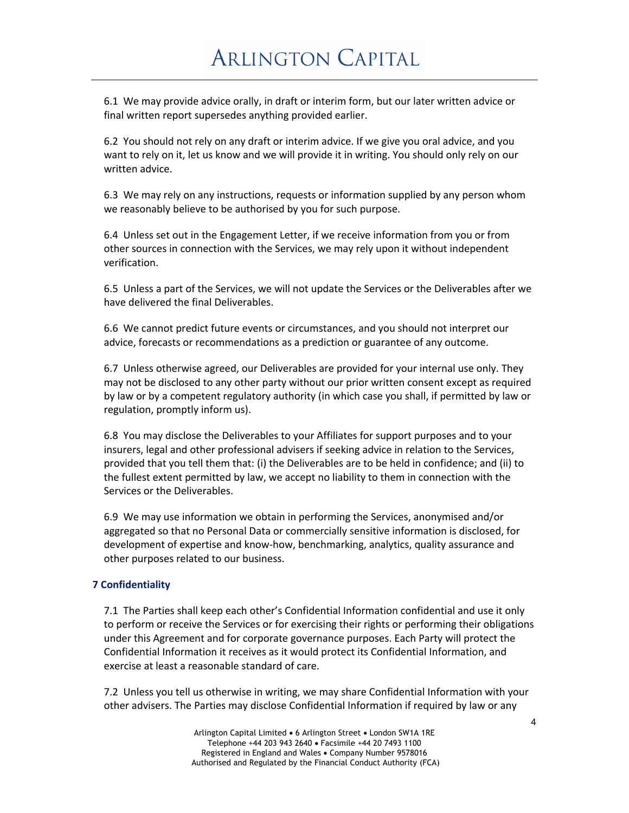6.1 We may provide advice orally, in draft or interim form, but our later written advice or final written report supersedes anything provided earlier.

6.2 You should not rely on any draft or interim advice. If we give you oral advice, and you want to rely on it, let us know and we will provide it in writing. You should only rely on our written advice.

6.3 We may rely on any instructions, requests or information supplied by any person whom we reasonably believe to be authorised by you for such purpose.

6.4 Unless set out in the Engagement Letter, if we receive information from you or from other sources in connection with the Services, we may rely upon it without independent verification.

6.5 Unless a part of the Services, we will not update the Services or the Deliverables after we have delivered the final Deliverables.

6.6 We cannot predict future events or circumstances, and you should not interpret our advice, forecasts or recommendations as a prediction or guarantee of any outcome.

6.7 Unless otherwise agreed, our Deliverables are provided for your internal use only. They may not be disclosed to any other party without our prior written consent except as required by law or by a competent regulatory authority (in which case you shall, if permitted by law or regulation, promptly inform us).

6.8 You may disclose the Deliverables to your Affiliates for support purposes and to your insurers, legal and other professional advisers if seeking advice in relation to the Services, provided that you tell them that: (i) the Deliverables are to be held in confidence; and (ii) to the fullest extent permitted by law, we accept no liability to them in connection with the Services or the Deliverables.

6.9 We may use information we obtain in performing the Services, anonymised and/or aggregated so that no Personal Data or commercially sensitive information is disclosed, for development of expertise and know-how, benchmarking, analytics, quality assurance and other purposes related to our business.

### **7 Confidentiality**

7.1 The Parties shall keep each other's Confidential Information confidential and use it only to perform or receive the Services or for exercising their rights or performing their obligations under this Agreement and for corporate governance purposes. Each Party will protect the Confidential Information it receives as it would protect its Confidential Information, and exercise at least a reasonable standard of care.

7.2 Unless you tell us otherwise in writing, we may share Confidential Information with your other advisers. The Parties may disclose Confidential Information if required by law or any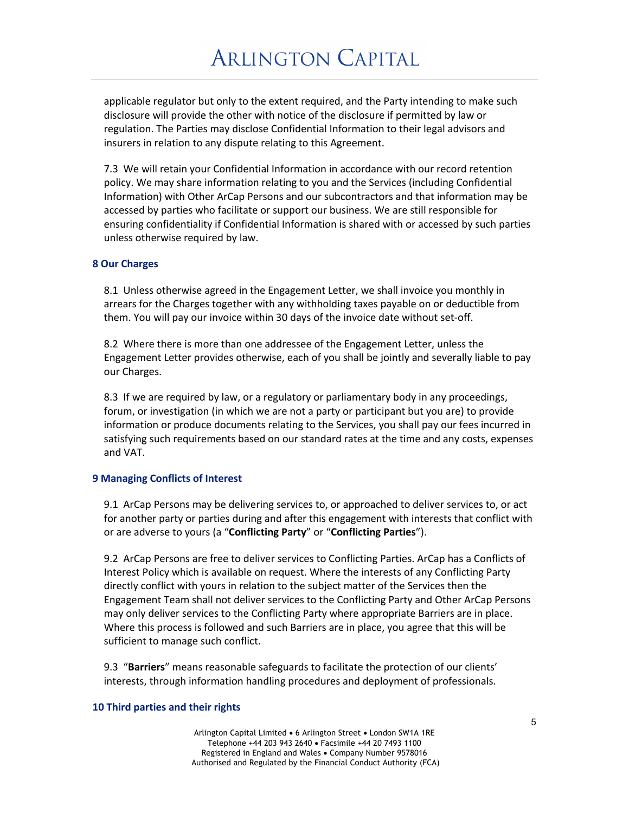applicable regulator but only to the extent required, and the Party intending to make such disclosure will provide the other with notice of the disclosure if permitted by law or regulation. The Parties may disclose Confidential Information to their legal advisors and insurers in relation to any dispute relating to this Agreement.

7.3 We will retain your Confidential Information in accordance with our record retention policy. We may share information relating to you and the Services (including Confidential Information) with Other ArCap Persons and our subcontractors and that information may be accessed by parties who facilitate or support our business. We are still responsible for ensuring confidentiality if Confidential Information is shared with or accessed by such parties unless otherwise required by law.

#### **8 Our Charges**

8.1 Unless otherwise agreed in the Engagement Letter, we shall invoice you monthly in arrears for the Charges together with any withholding taxes payable on or deductible from them. You will pay our invoice within 30 days of the invoice date without set-off.

8.2 Where there is more than one addressee of the Engagement Letter, unless the Engagement Letter provides otherwise, each of you shall be jointly and severally liable to pay our Charges.

8.3 If we are required by law, or a regulatory or parliamentary body in any proceedings, forum, or investigation (in which we are not a party or participant but you are) to provide information or produce documents relating to the Services, you shall pay our fees incurred in satisfying such requirements based on our standard rates at the time and any costs, expenses and VAT.

#### **9 Managing Conflicts of Interest**

9.1 ArCap Persons may be delivering services to, or approached to deliver services to, or act for another party or parties during and after this engagement with interests that conflict with or are adverse to yours (a "**Conflicting Party**" or "**Conflicting Parties**").

9.2 ArCap Persons are free to deliver services to Conflicting Parties. ArCap has a Conflicts of Interest Policy which is available on request. Where the interests of any Conflicting Party directly conflict with yours in relation to the subject matter of the Services then the Engagement Team shall not deliver services to the Conflicting Party and Other ArCap Persons may only deliver services to the Conflicting Party where appropriate Barriers are in place. Where this process is followed and such Barriers are in place, you agree that this will be sufficient to manage such conflict.

9.3 "**Barriers**" means reasonable safeguards to facilitate the protection of our clients' interests, through information handling procedures and deployment of professionals.

#### **10 Third parties and their rights**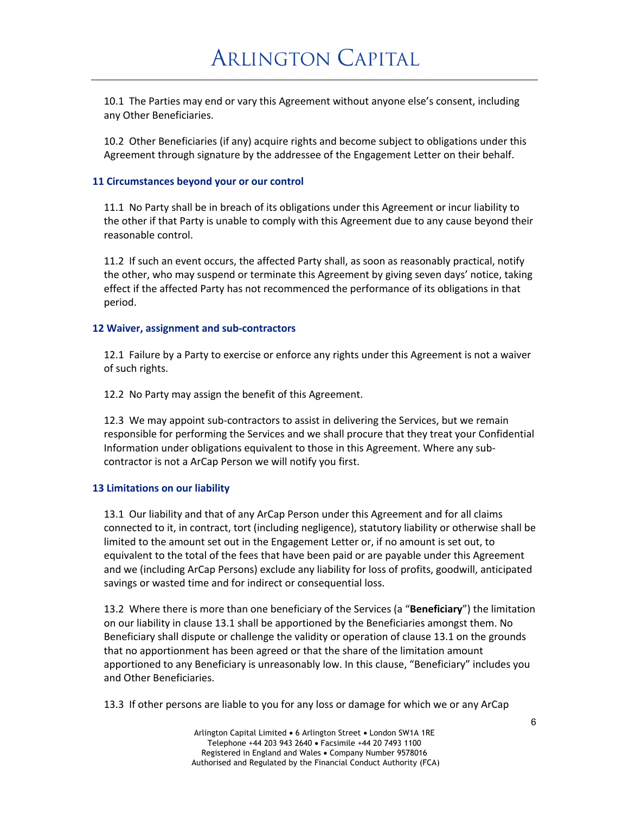10.1 The Parties may end or vary this Agreement without anyone else's consent, including any Other Beneficiaries.

10.2 Other Beneficiaries (if any) acquire rights and become subject to obligations under this Agreement through signature by the addressee of the Engagement Letter on their behalf.

### **11 Circumstances beyond your or our control**

11.1 No Party shall be in breach of its obligations under this Agreement or incur liability to the other if that Party is unable to comply with this Agreement due to any cause beyond their reasonable control.

11.2 If such an event occurs, the affected Party shall, as soon as reasonably practical, notify the other, who may suspend or terminate this Agreement by giving seven days' notice, taking effect if the affected Party has not recommenced the performance of its obligations in that period.

#### **12 Waiver, assignment and sub-contractors**

12.1 Failure by a Party to exercise or enforce any rights under this Agreement is not a waiver of such rights.

12.2 No Party may assign the benefit of this Agreement.

12.3 We may appoint sub-contractors to assist in delivering the Services, but we remain responsible for performing the Services and we shall procure that they treat your Confidential Information under obligations equivalent to those in this Agreement. Where any subcontractor is not a ArCap Person we will notify you first.

#### **13 Limitations on our liability**

13.1 Our liability and that of any ArCap Person under this Agreement and for all claims connected to it, in contract, tort (including negligence), statutory liability or otherwise shall be limited to the amount set out in the Engagement Letter or, if no amount is set out, to equivalent to the total of the fees that have been paid or are payable under this Agreement and we (including ArCap Persons) exclude any liability for loss of profits, goodwill, anticipated savings or wasted time and for indirect or consequential loss.

13.2 Where there is more than one beneficiary of the Services (a "**Beneficiary**") the limitation on our liability in clause 13.1 shall be apportioned by the Beneficiaries amongst them. No Beneficiary shall dispute or challenge the validity or operation of clause 13.1 on the grounds that no apportionment has been agreed or that the share of the limitation amount apportioned to any Beneficiary is unreasonably low. In this clause, "Beneficiary" includes you and Other Beneficiaries.

13.3 If other persons are liable to you for any loss or damage for which we or any ArCap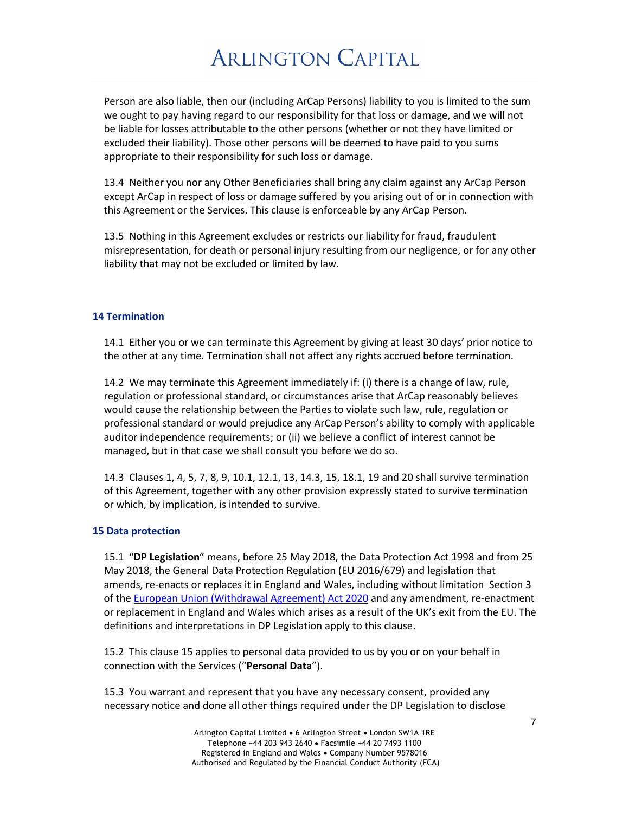Person are also liable, then our (including ArCap Persons) liability to you is limited to the sum we ought to pay having regard to our responsibility for that loss or damage, and we will not be liable for losses attributable to the other persons (whether or not they have limited or excluded their liability). Those other persons will be deemed to have paid to you sums appropriate to their responsibility for such loss or damage.

13.4 Neither you nor any Other Beneficiaries shall bring any claim against any ArCap Person except ArCap in respect of loss or damage suffered by you arising out of or in connection with this Agreement or the Services. This clause is enforceable by any ArCap Person.

13.5 Nothing in this Agreement excludes or restricts our liability for fraud, fraudulent misrepresentation, for death or personal injury resulting from our negligence, or for any other liability that may not be excluded or limited by law.

### **14 Termination**

14.1 Either you or we can terminate this Agreement by giving at least 30 days' prior notice to the other at any time. Termination shall not affect any rights accrued before termination.

14.2 We may terminate this Agreement immediately if: (i) there is a change of law, rule, regulation or professional standard, or circumstances arise that ArCap reasonably believes would cause the relationship between the Parties to violate such law, rule, regulation or professional standard or would prejudice any ArCap Person's ability to comply with applicable auditor independence requirements; or (ii) we believe a conflict of interest cannot be managed, but in that case we shall consult you before we do so.

14.3 Clauses 1, 4, 5, 7, 8, 9, 10.1, 12.1, 13, 14.3, 15, 18.1, 19 and 20 shall survive termination of this Agreement, together with any other provision expressly stated to survive termination or which, by implication, is intended to survive.

#### **15 Data protection**

15.1 "**DP Legislation**" means, before 25 May 2018, the Data Protection Act 1998 and from 25 May 2018, the General Data Protection Regulation (EU 2016/679) and legislation that amends, re-enacts or replaces it in England and Wales, including without limitation Section 3 of the European Union (Withdrawal Agreement) Act 2020 and any amendment, re-enactment or replacement in England and Wales which arises as a result of the UK's exit from the EU. The definitions and interpretations in DP Legislation apply to this clause.

15.2 This clause 15 applies to personal data provided to us by you or on your behalf in connection with the Services ("**Personal Data**").

15.3 You warrant and represent that you have any necessary consent, provided any necessary notice and done all other things required under the DP Legislation to disclose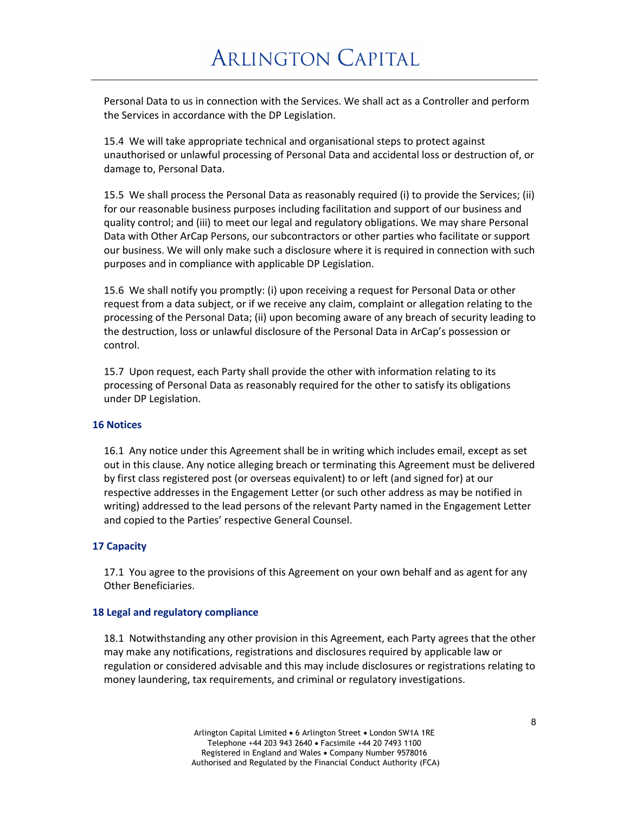Personal Data to us in connection with the Services. We shall act as a Controller and perform the Services in accordance with the DP Legislation.

15.4 We will take appropriate technical and organisational steps to protect against unauthorised or unlawful processing of Personal Data and accidental loss or destruction of, or damage to, Personal Data.

15.5 We shall process the Personal Data as reasonably required (i) to provide the Services; (ii) for our reasonable business purposes including facilitation and support of our business and quality control; and (iii) to meet our legal and regulatory obligations. We may share Personal Data with Other ArCap Persons, our subcontractors or other parties who facilitate or support our business. We will only make such a disclosure where it is required in connection with such purposes and in compliance with applicable DP Legislation.

15.6 We shall notify you promptly: (i) upon receiving a request for Personal Data or other request from a data subject, or if we receive any claim, complaint or allegation relating to the processing of the Personal Data; (ii) upon becoming aware of any breach of security leading to the destruction, loss or unlawful disclosure of the Personal Data in ArCap's possession or control.

15.7 Upon request, each Party shall provide the other with information relating to its processing of Personal Data as reasonably required for the other to satisfy its obligations under DP Legislation.

#### **16 Notices**

16.1 Any notice under this Agreement shall be in writing which includes email, except as set out in this clause. Any notice alleging breach or terminating this Agreement must be delivered by first class registered post (or overseas equivalent) to or left (and signed for) at our respective addresses in the Engagement Letter (or such other address as may be notified in writing) addressed to the lead persons of the relevant Party named in the Engagement Letter and copied to the Parties' respective General Counsel.

### **17 Capacity**

17.1 You agree to the provisions of this Agreement on your own behalf and as agent for any Other Beneficiaries.

#### **18 Legal and regulatory compliance**

18.1 Notwithstanding any other provision in this Agreement, each Party agrees that the other may make any notifications, registrations and disclosures required by applicable law or regulation or considered advisable and this may include disclosures or registrations relating to money laundering, tax requirements, and criminal or regulatory investigations.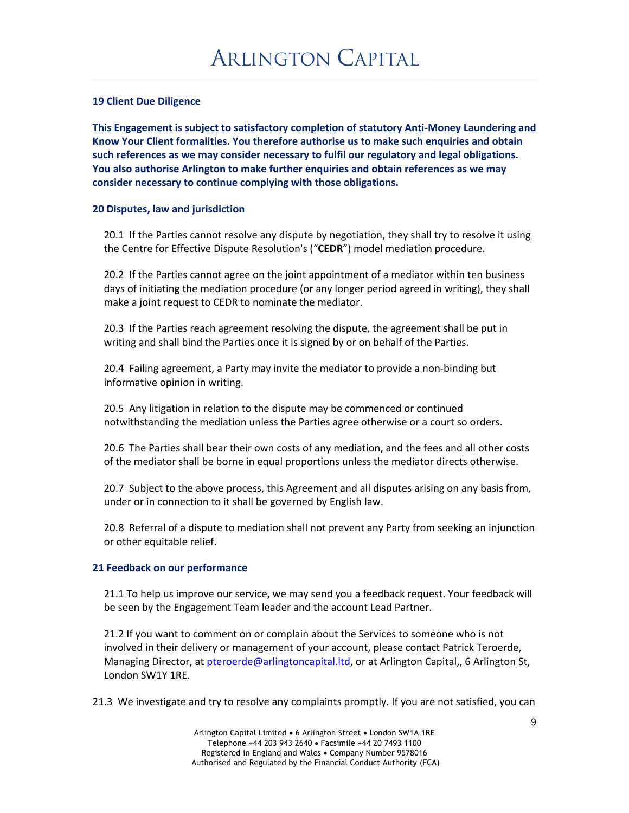### **19 Client Due Diligence**

**This Engagement is subject to satisfactory completion of statutory Anti-Money Laundering and Know Your Client formalities. You therefore authorise us to make such enquiries and obtain such references as we may consider necessary to fulfil our regulatory and legal obligations. You also authorise Arlington to make further enquiries and obtain references as we may consider necessary to continue complying with those obligations.**

### **20 Disputes, law and jurisdiction**

20.1 If the Parties cannot resolve any dispute by negotiation, they shall try to resolve it using the Centre for Effective Dispute Resolution's ("**CEDR**") model mediation procedure.

20.2 If the Parties cannot agree on the joint appointment of a mediator within ten business days of initiating the mediation procedure (or any longer period agreed in writing), they shall make a joint request to CEDR to nominate the mediator.

20.3 If the Parties reach agreement resolving the dispute, the agreement shall be put in writing and shall bind the Parties once it is signed by or on behalf of the Parties.

20.4 Failing agreement, a Party may invite the mediator to provide a non-binding but informative opinion in writing.

20.5 Any litigation in relation to the dispute may be commenced or continued notwithstanding the mediation unless the Parties agree otherwise or a court so orders.

20.6 The Parties shall bear their own costs of any mediation, and the fees and all other costs of the mediator shall be borne in equal proportions unless the mediator directs otherwise.

20.7 Subject to the above process, this Agreement and all disputes arising on any basis from, under or in connection to it shall be governed by English law.

20.8 Referral of a dispute to mediation shall not prevent any Party from seeking an injunction or other equitable relief.

### **21 Feedback on our performance**

21.1 To help us improve our service, we may send you a feedback request. Your feedback will be seen by the Engagement Team leader and the account Lead Partner.

21.2 If you want to comment on or complain about the Services to someone who is not involved in their delivery or management of your account, please contact Patrick Teroerde, Managing Director, at pteroerde@arlingtoncapital.ltd, or at Arlington Capital,, 6 Arlington St, London SW1Y 1RE.

21.3 We investigate and try to resolve any complaints promptly. If you are not satisfied, you can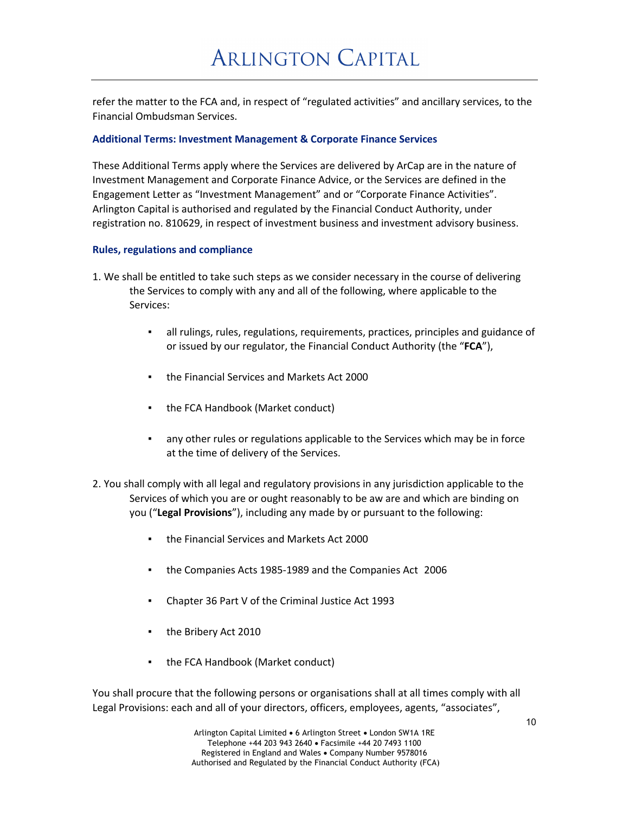refer the matter to the FCA and, in respect of "regulated activities" and ancillary services, to the Financial Ombudsman Services.

### **Additional Terms: Investment Management & Corporate Finance Services**

These Additional Terms apply where the Services are delivered by ArCap are in the nature of Investment Management and Corporate Finance Advice, or the Services are defined in the Engagement Letter as "Investment Management" and or "Corporate Finance Activities". Arlington Capital is authorised and regulated by the Financial Conduct Authority, under registration no. 810629, in respect of investment business and investment advisory business.

#### **Rules, regulations and compliance**

- 1. We shall be entitled to take such steps as we consider necessary in the course of delivering the Services to comply with any and all of the following, where applicable to the Services:
	- all rulings, rules, regulations, requirements, practices, principles and guidance of or issued by our regulator, the Financial Conduct Authority (the "**FCA**"),
	- the Financial Services and Markets Act 2000
	- the FCA Handbook (Market conduct)
	- any other rules or regulations applicable to the Services which may be in force at the time of delivery of the Services.
- 2. You shall comply with all legal and regulatory provisions in any jurisdiction applicable to the Services of which you are or ought reasonably to be aw are and which are binding on you ("**Legal Provisions**"), including any made by or pursuant to the following:
	- the Financial Services and Markets Act 2000
	- the Companies Acts 1985-1989 and the Companies Act 2006
	- Chapter 36 Part V of the Criminal Justice Act 1993
	- the Bribery Act 2010
	- the FCA Handbook (Market conduct)

You shall procure that the following persons or organisations shall at all times comply with all Legal Provisions: each and all of your directors, officers, employees, agents, "associates",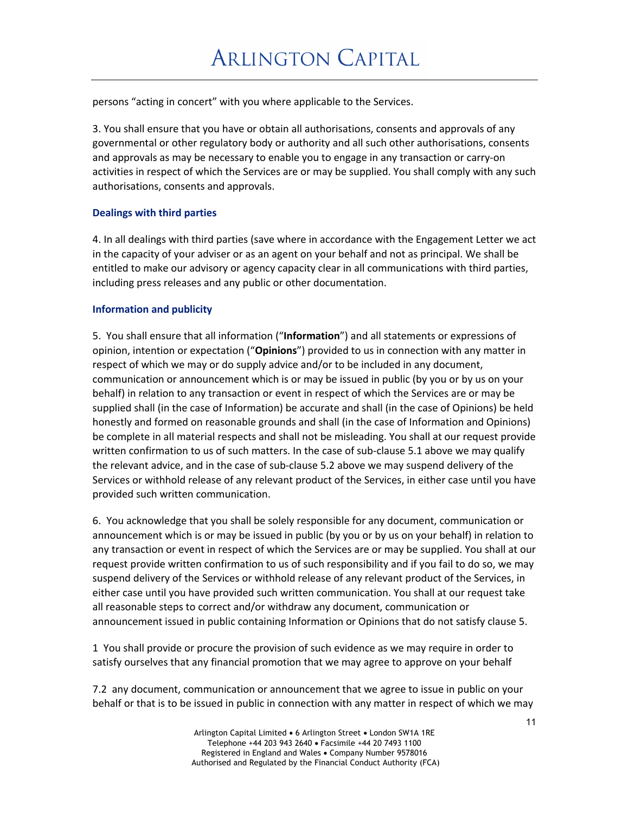persons "acting in concert" with you where applicable to the Services.

3. You shall ensure that you have or obtain all authorisations, consents and approvals of any governmental or other regulatory body or authority and all such other authorisations, consents and approvals as may be necessary to enable you to engage in any transaction or carry-on activities in respect of which the Services are or may be supplied. You shall comply with any such authorisations, consents and approvals.

## **Dealings with third parties**

4. In all dealings with third parties (save where in accordance with the Engagement Letter we act in the capacity of your adviser or as an agent on your behalf and not as principal. We shall be entitled to make our advisory or agency capacity clear in all communications with third parties, including press releases and any public or other documentation.

## **Information and publicity**

5. You shall ensure that all information ("**Information**") and all statements or expressions of opinion, intention or expectation ("**Opinions**") provided to us in connection with any matter in respect of which we may or do supply advice and/or to be included in any document, communication or announcement which is or may be issued in public (by you or by us on your behalf) in relation to any transaction or event in respect of which the Services are or may be supplied shall (in the case of Information) be accurate and shall (in the case of Opinions) be held honestly and formed on reasonable grounds and shall (in the case of Information and Opinions) be complete in all material respects and shall not be misleading. You shall at our request provide written confirmation to us of such matters. In the case of sub-clause 5.1 above we may qualify the relevant advice, and in the case of sub-clause 5.2 above we may suspend delivery of the Services or withhold release of any relevant product of the Services, in either case until you have provided such written communication.

6. You acknowledge that you shall be solely responsible for any document, communication or announcement which is or may be issued in public (by you or by us on your behalf) in relation to any transaction or event in respect of which the Services are or may be supplied. You shall at our request provide written confirmation to us of such responsibility and if you fail to do so, we may suspend delivery of the Services or withhold release of any relevant product of the Services, in either case until you have provided such written communication. You shall at our request take all reasonable steps to correct and/or withdraw any document, communication or announcement issued in public containing Information or Opinions that do not satisfy clause 5.

1 You shall provide or procure the provision of such evidence as we may require in order to satisfy ourselves that any financial promotion that we may agree to approve on your behalf

7.2 any document, communication or announcement that we agree to issue in public on your behalf or that is to be issued in public in connection with any matter in respect of which we may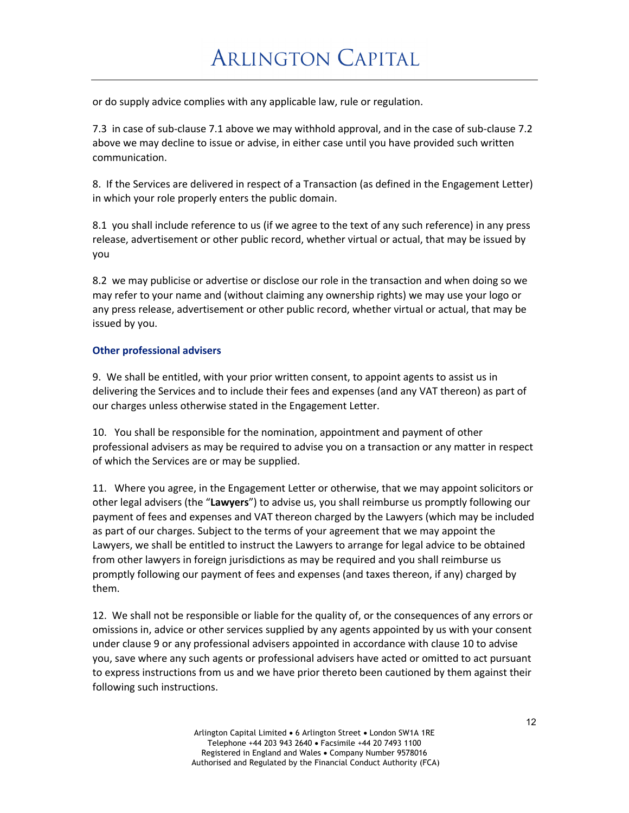or do supply advice complies with any applicable law, rule or regulation.

7.3 in case of sub-clause 7.1 above we may withhold approval, and in the case of sub-clause 7.2 above we may decline to issue or advise, in either case until you have provided such written communication.

8. If the Services are delivered in respect of a Transaction (as defined in the Engagement Letter) in which your role properly enters the public domain.

8.1 you shall include reference to us (if we agree to the text of any such reference) in any press release, advertisement or other public record, whether virtual or actual, that may be issued by you

8.2 we may publicise or advertise or disclose our role in the transaction and when doing so we may refer to your name and (without claiming any ownership rights) we may use your logo or any press release, advertisement or other public record, whether virtual or actual, that may be issued by you.

## **Other professional advisers**

9. We shall be entitled, with your prior written consent, to appoint agents to assist us in delivering the Services and to include their fees and expenses (and any VAT thereon) as part of our charges unless otherwise stated in the Engagement Letter.

10. You shall be responsible for the nomination, appointment and payment of other professional advisers as may be required to advise you on a transaction or any matter in respect of which the Services are or may be supplied.

11. Where you agree, in the Engagement Letter or otherwise, that we may appoint solicitors or other legal advisers (the "**Lawyers**") to advise us, you shall reimburse us promptly following our payment of fees and expenses and VAT thereon charged by the Lawyers (which may be included as part of our charges. Subject to the terms of your agreement that we may appoint the Lawyers, we shall be entitled to instruct the Lawyers to arrange for legal advice to be obtained from other lawyers in foreign jurisdictions as may be required and you shall reimburse us promptly following our payment of fees and expenses (and taxes thereon, if any) charged by them.

12. We shall not be responsible or liable for the quality of, or the consequences of any errors or omissions in, advice or other services supplied by any agents appointed by us with your consent under clause 9 or any professional advisers appointed in accordance with clause 10 to advise you, save where any such agents or professional advisers have acted or omitted to act pursuant to express instructions from us and we have prior thereto been cautioned by them against their following such instructions.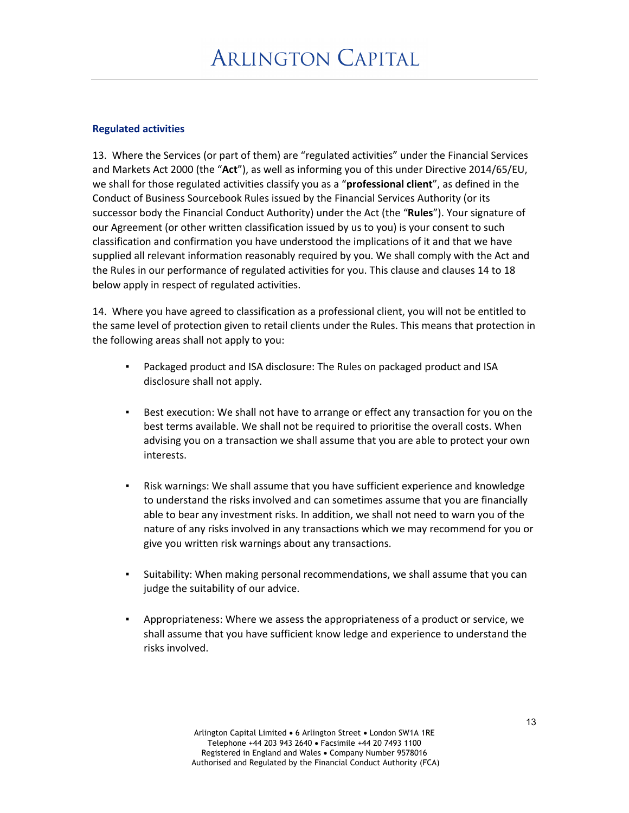### **Regulated activities**

13. Where the Services (or part of them) are "regulated activities" under the Financial Services and Markets Act 2000 (the "**Act**"), as well as informing you of this under Directive 2014/65/EU, we shall for those regulated activities classify you as a "**professional client**", as defined in the Conduct of Business Sourcebook Rules issued by the Financial Services Authority (or its successor body the Financial Conduct Authority) under the Act (the "**Rules**"). Your signature of our Agreement (or other written classification issued by us to you) is your consent to such classification and confirmation you have understood the implications of it and that we have supplied all relevant information reasonably required by you. We shall comply with the Act and the Rules in our performance of regulated activities for you. This clause and clauses 14 to 18 below apply in respect of regulated activities.

14. Where you have agreed to classification as a professional client, you will not be entitled to the same level of protection given to retail clients under the Rules. This means that protection in the following areas shall not apply to you:

- Packaged product and ISA disclosure: The Rules on packaged product and ISA disclosure shall not apply.
- Best execution: We shall not have to arrange or effect any transaction for you on the best terms available. We shall not be required to prioritise the overall costs. When advising you on a transaction we shall assume that you are able to protect your own interests.
- Risk warnings: We shall assume that you have sufficient experience and knowledge to understand the risks involved and can sometimes assume that you are financially able to bear any investment risks. In addition, we shall not need to warn you of the nature of any risks involved in any transactions which we may recommend for you or give you written risk warnings about any transactions.
- Suitability: When making personal recommendations, we shall assume that you can judge the suitability of our advice.
- Appropriateness: Where we assess the appropriateness of a product or service, we shall assume that you have sufficient know ledge and experience to understand the risks involved.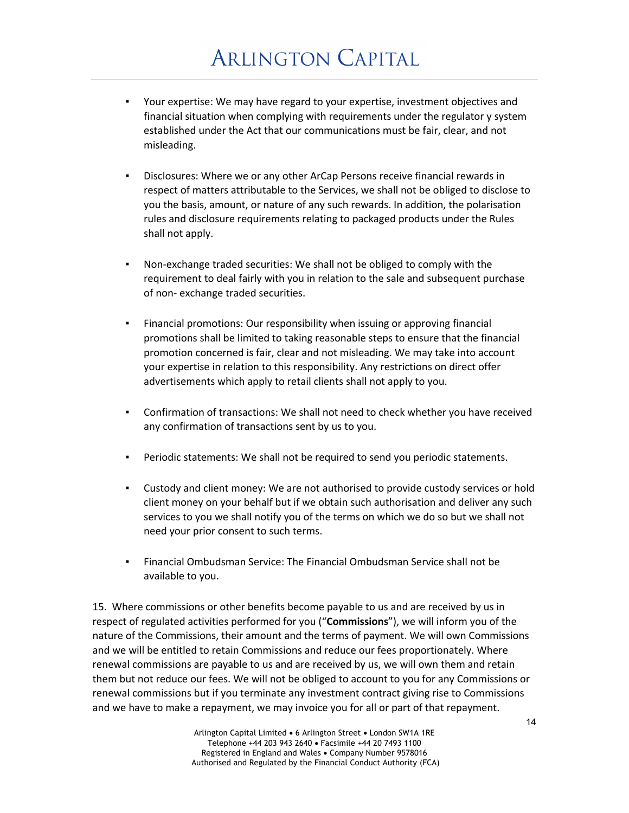- Your expertise: We may have regard to your expertise, investment objectives and financial situation when complying with requirements under the regulator y system established under the Act that our communications must be fair, clear, and not misleading.
- Disclosures: Where we or any other ArCap Persons receive financial rewards in respect of matters attributable to the Services, we shall not be obliged to disclose to you the basis, amount, or nature of any such rewards. In addition, the polarisation rules and disclosure requirements relating to packaged products under the Rules shall not apply.
- Non-exchange traded securities: We shall not be obliged to comply with the requirement to deal fairly with you in relation to the sale and subsequent purchase of non- exchange traded securities.
- Financial promotions: Our responsibility when issuing or approving financial promotions shall be limited to taking reasonable steps to ensure that the financial promotion concerned is fair, clear and not misleading. We may take into account your expertise in relation to this responsibility. Any restrictions on direct offer advertisements which apply to retail clients shall not apply to you.
- Confirmation of transactions: We shall not need to check whether you have received any confirmation of transactions sent by us to you.
- Periodic statements: We shall not be required to send you periodic statements.
- Custody and client money: We are not authorised to provide custody services or hold client money on your behalf but if we obtain such authorisation and deliver any such services to you we shall notify you of the terms on which we do so but we shall not need your prior consent to such terms.
- Financial Ombudsman Service: The Financial Ombudsman Service shall not be available to you.

15. Where commissions or other benefits become payable to us and are received by us in respect of regulated activities performed for you ("**Commissions**"), we will inform you of the nature of the Commissions, their amount and the terms of payment. We will own Commissions and we will be entitled to retain Commissions and reduce our fees proportionately. Where renewal commissions are payable to us and are received by us, we will own them and retain them but not reduce our fees. We will not be obliged to account to you for any Commissions or renewal commissions but if you terminate any investment contract giving rise to Commissions and we have to make a repayment, we may invoice you for all or part of that repayment.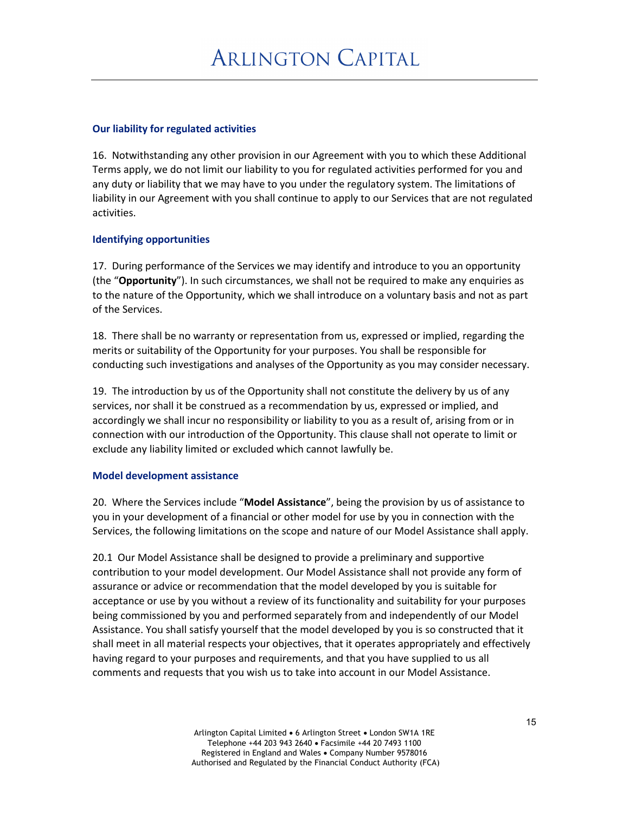### **Our liability for regulated activities**

16. Notwithstanding any other provision in our Agreement with you to which these Additional Terms apply, we do not limit our liability to you for regulated activities performed for you and any duty or liability that we may have to you under the regulatory system. The limitations of liability in our Agreement with you shall continue to apply to our Services that are not regulated activities.

### **Identifying opportunities**

17. During performance of the Services we may identify and introduce to you an opportunity (the "**Opportunity**"). In such circumstances, we shall not be required to make any enquiries as to the nature of the Opportunity, which we shall introduce on a voluntary basis and not as part of the Services.

18. There shall be no warranty or representation from us, expressed or implied, regarding the merits or suitability of the Opportunity for your purposes. You shall be responsible for conducting such investigations and analyses of the Opportunity as you may consider necessary.

19. The introduction by us of the Opportunity shall not constitute the delivery by us of any services, nor shall it be construed as a recommendation by us, expressed or implied, and accordingly we shall incur no responsibility or liability to you as a result of, arising from or in connection with our introduction of the Opportunity. This clause shall not operate to limit or exclude any liability limited or excluded which cannot lawfully be.

#### **Model development assistance**

20. Where the Services include "**Model Assistance**", being the provision by us of assistance to you in your development of a financial or other model for use by you in connection with the Services, the following limitations on the scope and nature of our Model Assistance shall apply.

20.1 Our Model Assistance shall be designed to provide a preliminary and supportive contribution to your model development. Our Model Assistance shall not provide any form of assurance or advice or recommendation that the model developed by you is suitable for acceptance or use by you without a review of its functionality and suitability for your purposes being commissioned by you and performed separately from and independently of our Model Assistance. You shall satisfy yourself that the model developed by you is so constructed that it shall meet in all material respects your objectives, that it operates appropriately and effectively having regard to your purposes and requirements, and that you have supplied to us all comments and requests that you wish us to take into account in our Model Assistance.